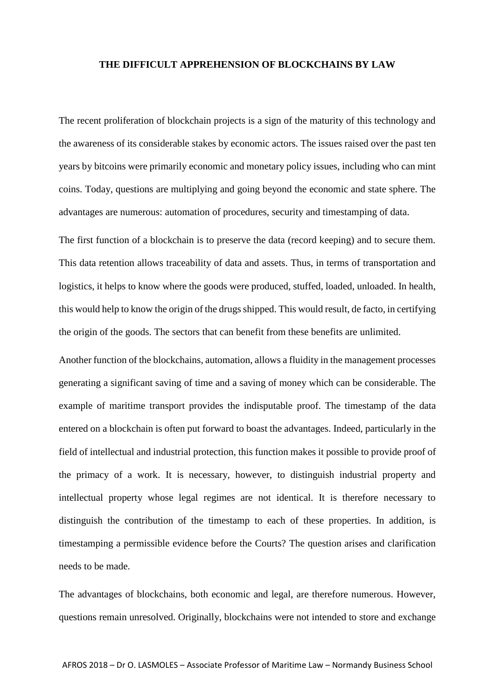## **THE DIFFICULT APPREHENSION OF BLOCKCHAINS BY LAW**

The recent proliferation of blockchain projects is a sign of the maturity of this technology and the awareness of its considerable stakes by economic actors. The issues raised over the past ten years by bitcoins were primarily economic and monetary policy issues, including who can mint coins. Today, questions are multiplying and going beyond the economic and state sphere. The advantages are numerous: automation of procedures, security and timestamping of data.

The first function of a blockchain is to preserve the data (record keeping) and to secure them. This data retention allows traceability of data and assets. Thus, in terms of transportation and logistics, it helps to know where the goods were produced, stuffed, loaded, unloaded. In health, this would help to know the origin of the drugs shipped. This would result, de facto, in certifying the origin of the goods. The sectors that can benefit from these benefits are unlimited.

Another function of the blockchains, automation, allows a fluidity in the management processes generating a significant saving of time and a saving of money which can be considerable. The example of maritime transport provides the indisputable proof. The timestamp of the data entered on a blockchain is often put forward to boast the advantages. Indeed, particularly in the field of intellectual and industrial protection, this function makes it possible to provide proof of the primacy of a work. It is necessary, however, to distinguish industrial property and intellectual property whose legal regimes are not identical. It is therefore necessary to distinguish the contribution of the timestamp to each of these properties. In addition, is timestamping a permissible evidence before the Courts? The question arises and clarification needs to be made.

The advantages of blockchains, both economic and legal, are therefore numerous. However, questions remain unresolved. Originally, blockchains were not intended to store and exchange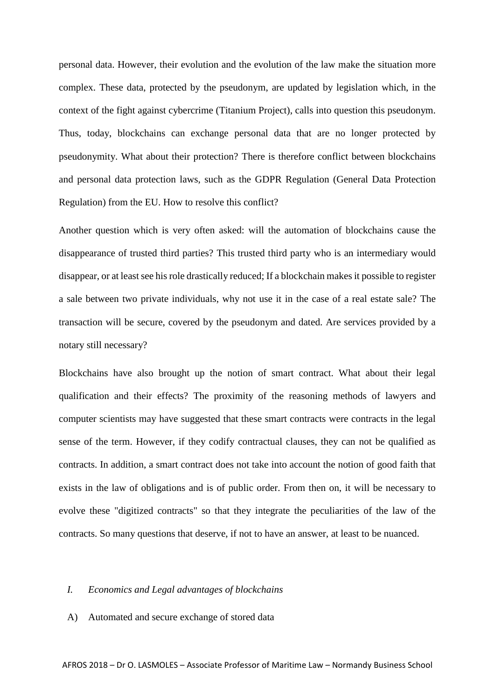personal data. However, their evolution and the evolution of the law make the situation more complex. These data, protected by the pseudonym, are updated by legislation which, in the context of the fight against cybercrime (Titanium Project), calls into question this pseudonym. Thus, today, blockchains can exchange personal data that are no longer protected by pseudonymity. What about their protection? There is therefore conflict between blockchains and personal data protection laws, such as the GDPR Regulation (General Data Protection Regulation) from the EU. How to resolve this conflict?

Another question which is very often asked: will the automation of blockchains cause the disappearance of trusted third parties? This trusted third party who is an intermediary would disappear, or at least see his role drastically reduced; If a blockchain makes it possible to register a sale between two private individuals, why not use it in the case of a real estate sale? The transaction will be secure, covered by the pseudonym and dated. Are services provided by a notary still necessary?

Blockchains have also brought up the notion of smart contract. What about their legal qualification and their effects? The proximity of the reasoning methods of lawyers and computer scientists may have suggested that these smart contracts were contracts in the legal sense of the term. However, if they codify contractual clauses, they can not be qualified as contracts. In addition, a smart contract does not take into account the notion of good faith that exists in the law of obligations and is of public order. From then on, it will be necessary to evolve these "digitized contracts" so that they integrate the peculiarities of the law of the contracts. So many questions that deserve, if not to have an answer, at least to be nuanced.

## *I. Economics and Legal advantages of blockchains*

A) Automated and secure exchange of stored data